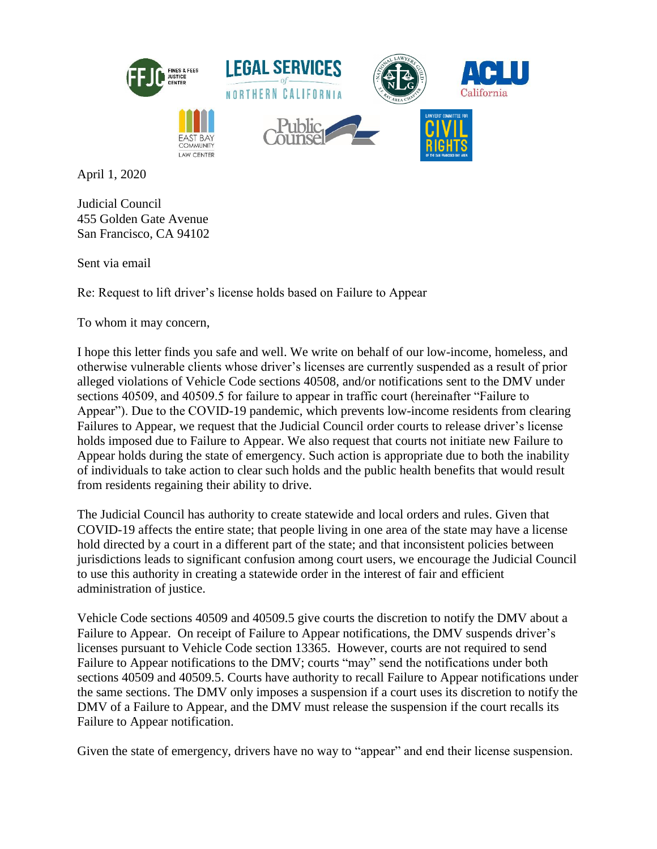

April 1, 2020

Judicial Council 455 Golden Gate Avenue San Francisco, CA 94102

Sent via email

Re: Request to lift driver's license holds based on Failure to Appear

To whom it may concern,

I hope this letter finds you safe and well. We write on behalf of our low-income, homeless, and otherwise vulnerable clients whose driver's licenses are currently suspended as a result of prior alleged violations of Vehicle Code sections 40508, and/or notifications sent to the DMV under sections 40509, and 40509.5 for failure to appear in traffic court (hereinafter "Failure to Appear"). Due to the COVID-19 pandemic, which prevents low-income residents from clearing Failures to Appear, we request that the Judicial Council order courts to release driver's license holds imposed due to Failure to Appear. We also request that courts not initiate new Failure to Appear holds during the state of emergency. Such action is appropriate due to both the inability of individuals to take action to clear such holds and the public health benefits that would result from residents regaining their ability to drive.

The Judicial Council has authority to create statewide and local orders and rules. Given that COVID-19 affects the entire state; that people living in one area of the state may have a license hold directed by a court in a different part of the state; and that inconsistent policies between jurisdictions leads to significant confusion among court users, we encourage the Judicial Council to use this authority in creating a statewide order in the interest of fair and efficient administration of justice.

Vehicle Code sections 40509 and 40509.5 give courts the discretion to notify the DMV about a Failure to Appear. On receipt of Failure to Appear notifications, the DMV suspends driver's licenses pursuant to Vehicle Code section 13365. However, courts are not required to send Failure to Appear notifications to the DMV; courts "may" send the notifications under both sections 40509 and 40509.5. Courts have authority to recall Failure to Appear notifications under the same sections. The DMV only imposes a suspension if a court uses its discretion to notify the DMV of a Failure to Appear, and the DMV must release the suspension if the court recalls its Failure to Appear notification.

Given the state of emergency, drivers have no way to "appear" and end their license suspension.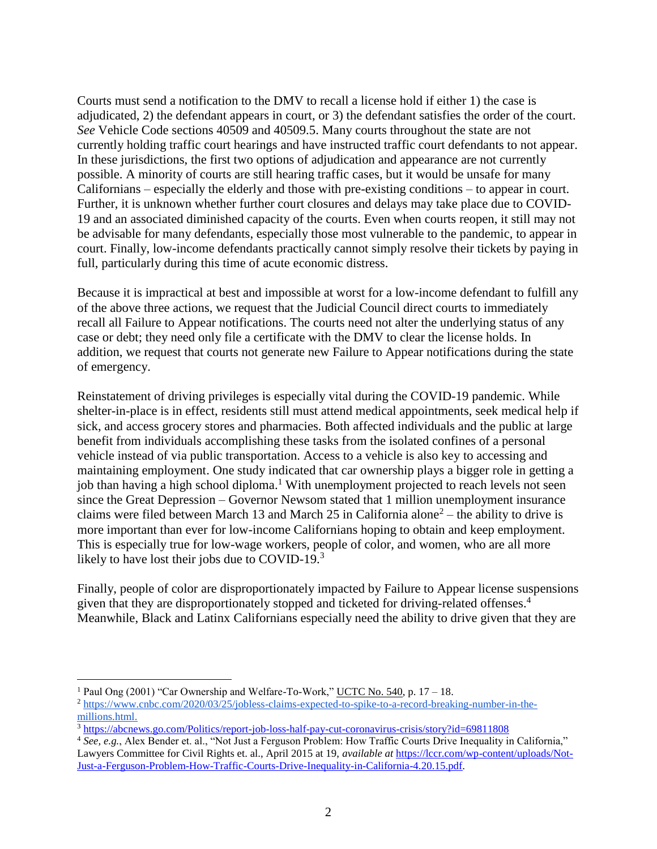Courts must send a notification to the DMV to recall a license hold if either 1) the case is adjudicated, 2) the defendant appears in court, or 3) the defendant satisfies the order of the court. *See* Vehicle Code sections 40509 and 40509.5. Many courts throughout the state are not currently holding traffic court hearings and have instructed traffic court defendants to not appear. In these jurisdictions, the first two options of adjudication and appearance are not currently possible. A minority of courts are still hearing traffic cases, but it would be unsafe for many Californians – especially the elderly and those with pre-existing conditions – to appear in court. Further, it is unknown whether further court closures and delays may take place due to COVID-19 and an associated diminished capacity of the courts. Even when courts reopen, it still may not be advisable for many defendants, especially those most vulnerable to the pandemic, to appear in court. Finally, low-income defendants practically cannot simply resolve their tickets by paying in full, particularly during this time of acute economic distress.

Because it is impractical at best and impossible at worst for a low-income defendant to fulfill any of the above three actions, we request that the Judicial Council direct courts to immediately recall all Failure to Appear notifications. The courts need not alter the underlying status of any case or debt; they need only file a certificate with the DMV to clear the license holds. In addition, we request that courts not generate new Failure to Appear notifications during the state of emergency.

Reinstatement of driving privileges is especially vital during the COVID-19 pandemic. While shelter-in-place is in effect, residents still must attend medical appointments, seek medical help if sick, and access grocery stores and pharmacies. Both affected individuals and the public at large benefit from individuals accomplishing these tasks from the isolated confines of a personal vehicle instead of via public transportation. Access to a vehicle is also key to accessing and maintaining employment. One study indicated that car ownership plays a bigger role in getting a job than having a high school diploma.<sup>1</sup> With unemployment projected to reach levels not seen since the Great Depression – Governor Newsom stated that 1 million unemployment insurance claims were filed between March 13 and March 25 in California alone<sup>2</sup> – the ability to drive is more important than ever for low-income Californians hoping to obtain and keep employment. This is especially true for low-wage workers, people of color, and women, who are all more likely to have lost their jobs due to COVID-19. $3$ 

Finally, people of color are disproportionately impacted by Failure to Appear license suspensions given that they are disproportionately stopped and ticketed for driving-related offenses. 4 Meanwhile, Black and Latinx Californians especially need the ability to drive given that they are

 $\overline{a}$ 

<sup>&</sup>lt;sup>1</sup> Paul Ong (2001) "Car Ownership and Welfare-To-Work," <u>UCTC No. 540</u>, p. 17 – 18.

<sup>2</sup> https://www.cnbc.com/2020/03/25/jobless-claims-expected-to-spike-to-a-record-breaking-number-in-themillions.html.

<sup>3</sup> <https://abcnews.go.com/Politics/report-job-loss-half-pay-cut-coronavirus-crisis/story?id=69811808>

<sup>4</sup> *See, e.g.*, Alex Bender et. al., "Not Just a Ferguson Problem: How Traffic Courts Drive Inequality in California," Lawyers Committee for Civil Rights et. al., April 2015 at 19, *available at* [https://lccr.com/wp-content/uploads/Not-](https://lccr.com/wp-content/uploads/Not-Just-a-Ferguson-Problem-How-Traffic-Courts-Drive-Inequality-in-California-4.20.15.pdf)[Just-a-Ferguson-Problem-How-Traffic-Courts-Drive-Inequality-in-California-4.20.15.pdf.](https://lccr.com/wp-content/uploads/Not-Just-a-Ferguson-Problem-How-Traffic-Courts-Drive-Inequality-in-California-4.20.15.pdf)